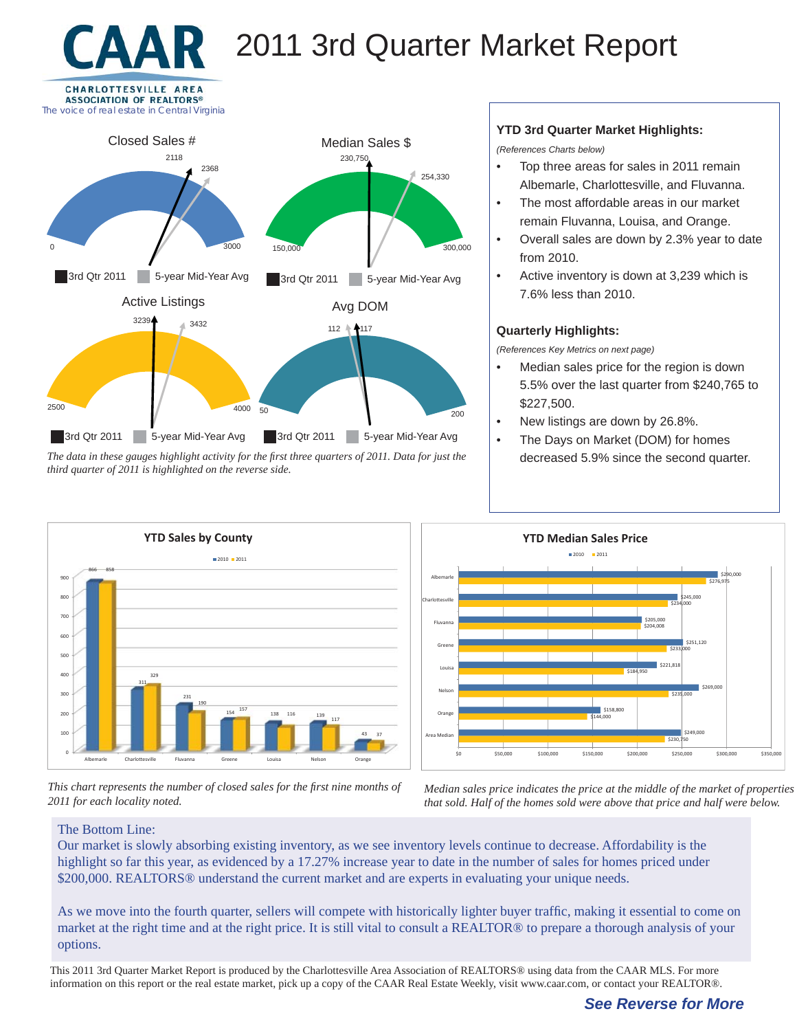# 2011 3rd Quarter Market Report





*The data in these gauges highlight activity for the fi rst three quarters of 2011. Data for just the third quarter of 2011 is highlighted on the reverse side.*

#### 100 200 300 400 500  $600$ 700 800 900 Albemarle Charlottesville Fluvanna Greene Louisa Nelson Orange 866 311 231 154 138 138 116 139 43 858 329 190 <sup>157</sup> <sup>116</sup> 117 37 **YTD Sales by County 2010 2011**

*This chart represents the number of closed sales for the first nine months of 2011 for each locality noted.*

### **YTD 3rd Quarter Market Highlights:**

*(References Charts below)*

- Top three areas for sales in 2011 remain Albemarle, Charlottesville, and Fluvanna.
- The most affordable areas in our market remain Fluvanna, Louisa, and Orange.
- Overall sales are down by 2.3% year to date from 2010.
- Active inventory is down at 3,239 which is 7.6% less than 2010.

### **Quarterly Highlights:**

*(References Key Metrics on next page)*

- Median sales price for the region is down 5.5% over the last quarter from \$240,765 to \$227,500.
- New listings are down by 26.8%.
- The Days on Market (DOM) for homes decreased 5.9% since the second quarter.



*Median sales price indicates the price at the middle of the market of properties that sold. Half of the homes sold were above that price and half were below.*

#### The Bottom Line:

Our market is slowly absorbing existing inventory, as we see inventory levels continue to decrease. Affordability is the highlight so far this year, as evidenced by a 17.27% increase year to date in the number of sales for homes priced under \$200,000. REALTORS<sup>®</sup> understand the current market and are experts in evaluating your unique needs.

As we move into the fourth quarter, sellers will compete with historically lighter buyer traffic, making it essential to come on market at the right time and at the right price. It is still vital to consult a REALTOR® to prepare a thorough analysis of your options.

This 2011 3rd Quarter Market Report is produced by the Charlottesville Area Association of REALTORS® using data from the CAAR MLS. For more information on this report or the real estate market, pick up a copy of the CAAR Real Estate Weekly, visit www.caar.com, or contact your REALTOR®.

## *See Reverse for More*